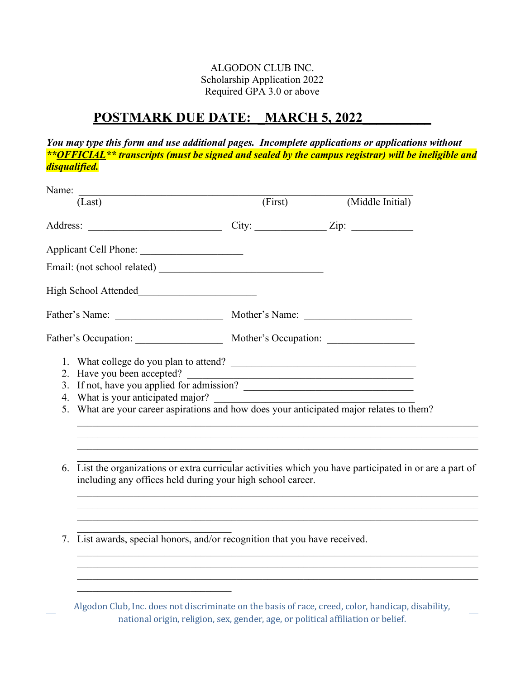## ALGODON CLUB INC. Scholarship Application 2022 Required GPA 3.0 or above

## POSTMARK DUE DATE: MARCH 5, 2022

*You may type this form and use additional pages. Incomplete applications or applications without \*\*OFFICIAL\*\* transcripts (must be signed and sealed by the campus registrar) will be ineligible and disqualified.* 

| Name:                                                                                                                                                                                                      |         |                  |
|------------------------------------------------------------------------------------------------------------------------------------------------------------------------------------------------------------|---------|------------------|
| (Last)                                                                                                                                                                                                     | (First) | (Middle Initial) |
|                                                                                                                                                                                                            |         |                  |
| Applicant Cell Phone:                                                                                                                                                                                      |         |                  |
|                                                                                                                                                                                                            |         |                  |
| High School Attended                                                                                                                                                                                       |         |                  |
| Father's Name: Mother's Name: Mother's Name:                                                                                                                                                               |         |                  |
| Father's Occupation: Mother's Occupation: Mother's Occupation:                                                                                                                                             |         |                  |
| 2. Have you been accepted?<br>3. If not, have you applied for admission?<br>4. What is your anticipated major?<br>5. What are your career aspirations and how does your anticipated major relates to them? |         |                  |
| List the organizations or extra curricular activities which you have participated in or are a part of<br>6.<br>including any offices held during your high school career.                                  |         |                  |
| 7. List awards, special honors, and/or recognition that you have received.                                                                                                                                 |         |                  |
|                                                                                                                                                                                                            |         |                  |

Algodon Club, Inc. does not discriminate on the basis of race, creed, color, handicap, disability, national origin, religion, sex, gender, age, or political affiliation or belief.